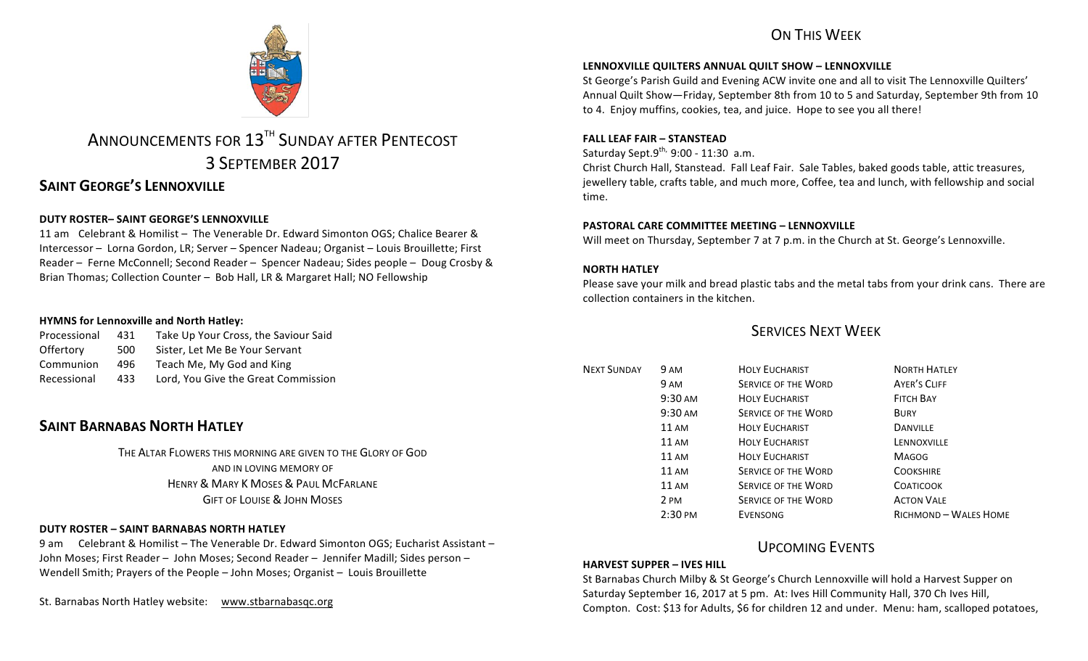# ON THIS WFFK



# ANNOUNCEMENTS FOR 13<sup>TH</sup> SUNDAY AFTER PENTECOST 3 SEPTEMBER 2017

# **SAINT GEORGE'S LENNOXVILLE**

## **DUTY ROSTER– SAINT GEORGE'S LENNOXVILLE**

11 am Celebrant & Homilist – The Venerable Dr. Edward Simonton OGS: Chalice Bearer & Intercessor - Lorna Gordon, LR; Server - Spencer Nadeau; Organist - Louis Brouillette; First Reader – Ferne McConnell; Second Reader – Spencer Nadeau; Sides people – Doug Crosby & Brian Thomas; Collection Counter - Bob Hall, LR & Margaret Hall; NO Fellowship

### **HYMNS** for Lennoxville and North Hatley:

| Processional | 431 | Take Up Your Cross, the Saviour Said |
|--------------|-----|--------------------------------------|
| Offertory    | 500 | Sister, Let Me Be Your Servant       |
| Communion    | 496 | Teach Me, My God and King            |
| Recessional  | 433 | Lord, You Give the Great Commission  |

# **SAINT BARNABAS NORTH HATLEY**

THE ALTAR FLOWERS THIS MORNING ARE GIVEN TO THE GLORY OF GOD AND IN LOVING MEMORY OF HENRY & MARY K MOSES & PAUL MCFARLANE **GIFT OF LOUISE & JOHN MOSES** 

### **DUTY ROSTER – SAINT BARNABAS NORTH HATLEY**

9 am Celebrant & Homilist – The Venerable Dr. Edward Simonton OGS: Eucharist Assistant – John Moses; First Reader – John Moses; Second Reader – Jennifer Madill; Sides person – Wendell Smith; Prayers of the People - John Moses; Organist - Louis Brouillette

St. Barnabas North Hatley website: www.stbarnabasqc.org

### **LENNOXVILLE QUILTERS ANNUAL QUILT SHOW - LENNOXVILLE**

St George's Parish Guild and Evening ACW invite one and all to visit The Lennoxville Quilters' Annual Quilt Show—Friday, September 8th from 10 to 5 and Saturday, September 9th from 10 to 4. Enjoy muffins, cookies, tea, and juice. Hope to see you all there!

### **FALL LEAF FAIR – STANSTEAD**

Saturday Sept. $9^{th}$ ,  $9:00$  - 11:30 a.m.

Christ Church Hall, Stanstead. Fall Leaf Fair. Sale Tables, baked goods table, attic treasures, jewellery table, crafts table, and much more, Coffee, tea and lunch, with fellowship and social time.

### **PASTORAL CARE COMMITTEE MEETING - LENNOXVILLE**

Will meet on Thursday, September 7 at 7 p.m. in the Church at St. George's Lennoxville.

### **NORTH HATLEY**

Please save your milk and bread plastic tabs and the metal tabs from your drink cans. There are collection containers in the kitchen.

# **SERVICES NEXT WEEK**

| <b>NEXT SUNDAY</b> | 9 AM               | <b>HOLY EUCHARIST</b>      | <b>NORTH HATLEY</b>   |
|--------------------|--------------------|----------------------------|-----------------------|
|                    | <b>9 AM</b>        | <b>SERVICE OF THE WORD</b> | AYER'S CLIFF          |
|                    | 9:30 AM            | <b>HOLY EUCHARIST</b>      | <b>FITCH BAY</b>      |
|                    | $9:30 \text{ AM}$  | <b>SERVICE OF THE WORD</b> | <b>BURY</b>           |
|                    | 11 AM              | <b>HOLY EUCHARIST</b>      | <b>DANVILLE</b>       |
|                    | 11 AM              | <b>HOLY EUCHARIST</b>      | LENNOXVILLE           |
|                    | <b>11 AM</b>       | <b>HOLY EUCHARIST</b>      | <b>MAGOG</b>          |
|                    | 11 AM              | <b>SERVICE OF THE WORD</b> | <b>COOKSHIRE</b>      |
|                    | $11 \text{ AM}$    | <b>SERVICE OF THE WORD</b> | <b>COATICOOK</b>      |
|                    | 2 PM               | <b>SERVICE OF THE WORD</b> | <b>ACTON VALE</b>     |
|                    | $2:30 \text{ }$ PM | EVENSONG                   | RICHMOND - WALES HOME |

# UPCOMING EVENTS

### **HARVEST SUPPER – IVES HILL**

St Barnabas Church Milby & St George's Church Lennoxville will hold a Harvest Supper on Saturday September 16, 2017 at 5 pm. At: Ives Hill Community Hall, 370 Ch Ives Hill, Compton. Cost: \$13 for Adults, \$6 for children 12 and under. Menu: ham, scalloped potatoes,